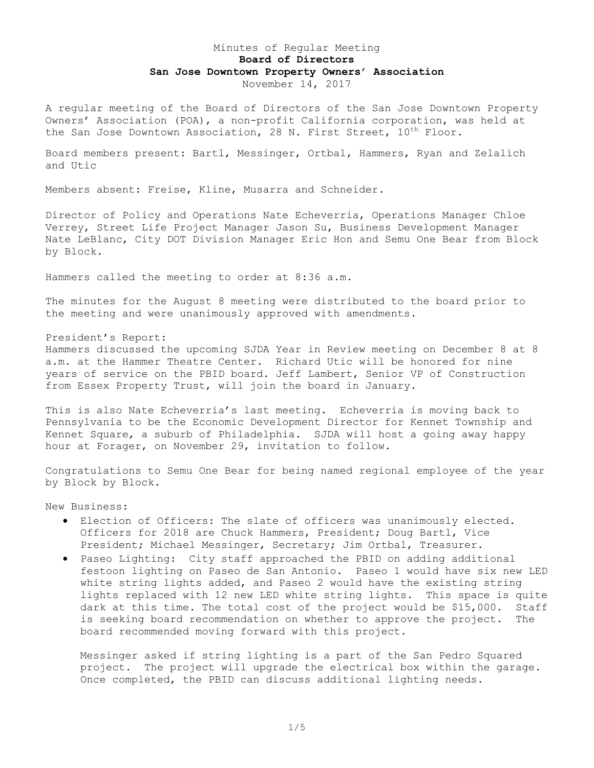# Minutes of Regular Meeting **Board of Directors San Jose Downtown Property Owners' Association** November 14, 2017

A regular meeting of the Board of Directors of the San Jose Downtown Property Owners' Association (POA), a non-profit California corporation, was held at the San Jose Downtown Association, 28 N. First Street,  $10^{th}$  Floor.

Board members present: Bartl, Messinger, Ortbal, Hammers, Ryan and Zelalich and Utic

Members absent: Freise, Kline, Musarra and Schneider.

Director of Policy and Operations Nate Echeverria, Operations Manager Chloe Verrey, Street Life Project Manager Jason Su, Business Development Manager Nate LeBlanc, City DOT Division Manager Eric Hon and Semu One Bear from Block by Block.

Hammers called the meeting to order at 8:36 a.m.

The minutes for the August 8 meeting were distributed to the board prior to the meeting and were unanimously approved with amendments.

President's Report:

Hammers discussed the upcoming SJDA Year in Review meeting on December 8 at 8 a.m. at the Hammer Theatre Center. Richard Utic will be honored for nine years of service on the PBID board. Jeff Lambert, Senior VP of Construction from Essex Property Trust, will join the board in January.

This is also Nate Echeverria's last meeting. Echeverria is moving back to Pennsylvania to be the Economic Development Director for Kennet Township and Kennet Square, a suburb of Philadelphia. SJDA will host a going away happy hour at Forager, on November 29, invitation to follow.

Congratulations to Semu One Bear for being named regional employee of the year by Block by Block.

New Business:

- Election of Officers: The slate of officers was unanimously elected. Officers for 2018 are Chuck Hammers, President; Doug Bartl, Vice President; Michael Messinger, Secretary; Jim Ortbal, Treasurer.
- Paseo Lighting: City staff approached the PBID on adding additional festoon lighting on Paseo de San Antonio. Paseo 1 would have six new LED white string lights added, and Paseo 2 would have the existing string lights replaced with 12 new LED white string lights. This space is quite dark at this time. The total cost of the project would be \$15,000. Staff is seeking board recommendation on whether to approve the project. The board recommended moving forward with this project.

Messinger asked if string lighting is a part of the San Pedro Squared project. The project will upgrade the electrical box within the garage. Once completed, the PBID can discuss additional lighting needs.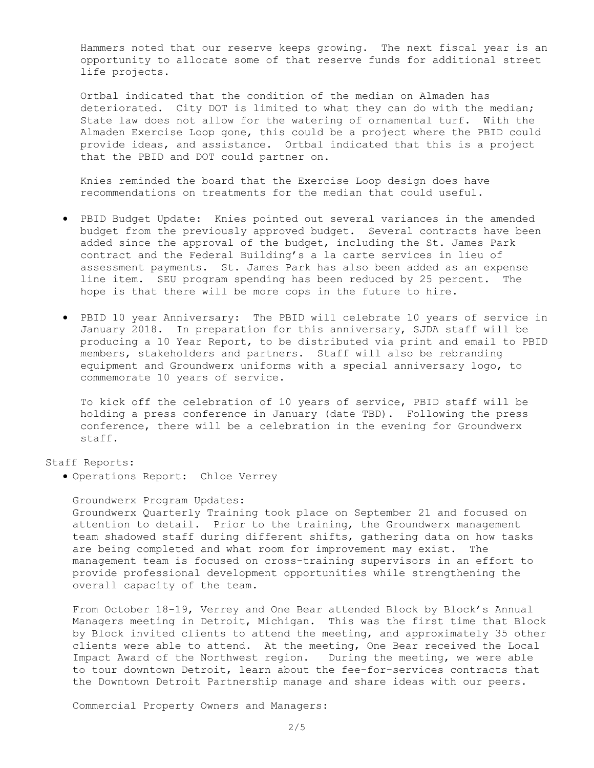Hammers noted that our reserve keeps growing. The next fiscal year is an opportunity to allocate some of that reserve funds for additional street life projects.

Ortbal indicated that the condition of the median on Almaden has deteriorated. City DOT is limited to what they can do with the median; State law does not allow for the watering of ornamental turf. With the Almaden Exercise Loop gone, this could be a project where the PBID could provide ideas, and assistance. Ortbal indicated that this is a project that the PBID and DOT could partner on.

Knies reminded the board that the Exercise Loop design does have recommendations on treatments for the median that could useful.

- PBID Budget Update: Knies pointed out several variances in the amended budget from the previously approved budget. Several contracts have been added since the approval of the budget, including the St. James Park contract and the Federal Building's a la carte services in lieu of assessment payments. St. James Park has also been added as an expense line item. SEU program spending has been reduced by 25 percent. The hope is that there will be more cops in the future to hire.
- PBID 10 year Anniversary: The PBID will celebrate 10 years of service in January 2018. In preparation for this anniversary, SJDA staff will be producing a 10 Year Report, to be distributed via print and email to PBID members, stakeholders and partners. Staff will also be rebranding equipment and Groundwerx uniforms with a special anniversary logo, to commemorate 10 years of service.

To kick off the celebration of 10 years of service, PBID staff will be holding a press conference in January (date TBD). Following the press conference, there will be a celebration in the evening for Groundwerx staff.

## Staff Reports:

Operations Report: Chloe Verrey

Groundwerx Program Updates: Groundwerx Quarterly Training took place on September 21 and focused on attention to detail. Prior to the training, the Groundwerx management team shadowed staff during different shifts, gathering data on how tasks are being completed and what room for improvement may exist. The management team is focused on cross-training supervisors in an effort to provide professional development opportunities while strengthening the overall capacity of the team.

From October 18-19, Verrey and One Bear attended Block by Block's Annual Managers meeting in Detroit, Michigan. This was the first time that Block by Block invited clients to attend the meeting, and approximately 35 other clients were able to attend. At the meeting, One Bear received the Local Impact Award of the Northwest region. During the meeting, we were able to tour downtown Detroit, learn about the fee-for-services contracts that the Downtown Detroit Partnership manage and share ideas with our peers.

Commercial Property Owners and Managers: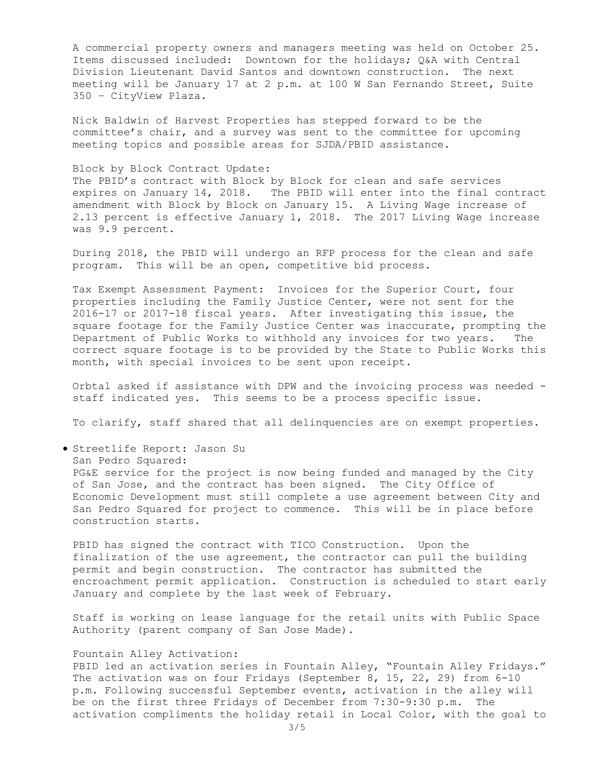A commercial property owners and managers meeting was held on October 25. Items discussed included: Downtown for the holidays; Q&A with Central Division Lieutenant David Santos and downtown construction. The next meeting will be January 17 at 2 p.m. at 100 W San Fernando Street, Suite 350 – CityView Plaza.

Nick Baldwin of Harvest Properties has stepped forward to be the committee's chair, and a survey was sent to the committee for upcoming meeting topics and possible areas for SJDA/PBID assistance.

### Block by Block Contract Update:

The PBID's contract with Block by Block for clean and safe services expires on January 14, 2018. The PBID will enter into the final contract amendment with Block by Block on January 15. A Living Wage increase of 2.13 percent is effective January 1, 2018. The 2017 Living Wage increase was 9.9 percent.

During 2018, the PBID will undergo an RFP process for the clean and safe program. This will be an open, competitive bid process.

Tax Exempt Assessment Payment: Invoices for the Superior Court, four properties including the Family Justice Center, were not sent for the 2016-17 or 2017-18 fiscal years. After investigating this issue, the square footage for the Family Justice Center was inaccurate, prompting the Department of Public Works to withhold any invoices for two years. The correct square footage is to be provided by the State to Public Works this month, with special invoices to be sent upon receipt.

Orbtal asked if assistance with DPW and the invoicing process was needed staff indicated yes. This seems to be a process specific issue.

To clarify, staff shared that all delinquencies are on exempt properties.

Streetlife Report: Jason Su

San Pedro Squared:

PG&E service for the project is now being funded and managed by the City of San Jose, and the contract has been signed. The City Office of Economic Development must still complete a use agreement between City and San Pedro Squared for project to commence. This will be in place before construction starts.

PBID has signed the contract with TICO Construction. Upon the finalization of the use agreement, the contractor can pull the building permit and begin construction. The contractor has submitted the encroachment permit application. Construction is scheduled to start early January and complete by the last week of February.

Staff is working on lease language for the retail units with Public Space Authority (parent company of San Jose Made).

## Fountain Alley Activation:

PBID led an activation series in Fountain Alley, "Fountain Alley Fridays." The activation was on four Fridays (September 8, 15, 22, 29) from 6-10 p.m. Following successful September events, activation in the alley will be on the first three Fridays of December from 7:30-9:30 p.m. The activation compliments the holiday retail in Local Color, with the goal to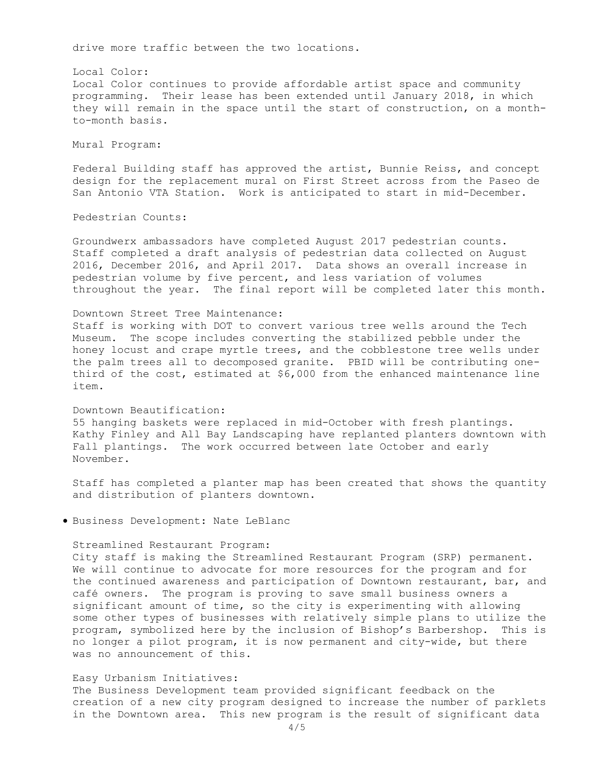drive more traffic between the two locations.

Local Color: Local Color continues to provide affordable artist space and community programming. Their lease has been extended until January 2018, in which they will remain in the space until the start of construction, on a monthto-month basis.

Mural Program:

Federal Building staff has approved the artist, Bunnie Reiss, and concept design for the replacement mural on First Street across from the Paseo de San Antonio VTA Station. Work is anticipated to start in mid-December.

Pedestrian Counts:

Groundwerx ambassadors have completed August 2017 pedestrian counts. Staff completed a draft analysis of pedestrian data collected on August 2016, December 2016, and April 2017. Data shows an overall increase in pedestrian volume by five percent, and less variation of volumes throughout the year. The final report will be completed later this month.

# Downtown Street Tree Maintenance:

Staff is working with DOT to convert various tree wells around the Tech Museum. The scope includes converting the stabilized pebble under the honey locust and crape myrtle trees, and the cobblestone tree wells under the palm trees all to decomposed granite. PBID will be contributing onethird of the cost, estimated at \$6,000 from the enhanced maintenance line item.

## Downtown Beautification:

55 hanging baskets were replaced in mid-October with fresh plantings. Kathy Finley and All Bay Landscaping have replanted planters downtown with Fall plantings. The work occurred between late October and early November.

Staff has completed a planter map has been created that shows the quantity and distribution of planters downtown.

Business Development: Nate LeBlanc

#### Streamlined Restaurant Program:

City staff is making the Streamlined Restaurant Program (SRP) permanent. We will continue to advocate for more resources for the program and for the continued awareness and participation of Downtown restaurant, bar, and café owners. The program is proving to save small business owners a significant amount of time, so the city is experimenting with allowing some other types of businesses with relatively simple plans to utilize the program, symbolized here by the inclusion of Bishop's Barbershop. This is no longer a pilot program, it is now permanent and city-wide, but there was no announcement of this.

### Easy Urbanism Initiatives:

The Business Development team provided significant feedback on the creation of a new city program designed to increase the number of parklets in the Downtown area. This new program is the result of significant data